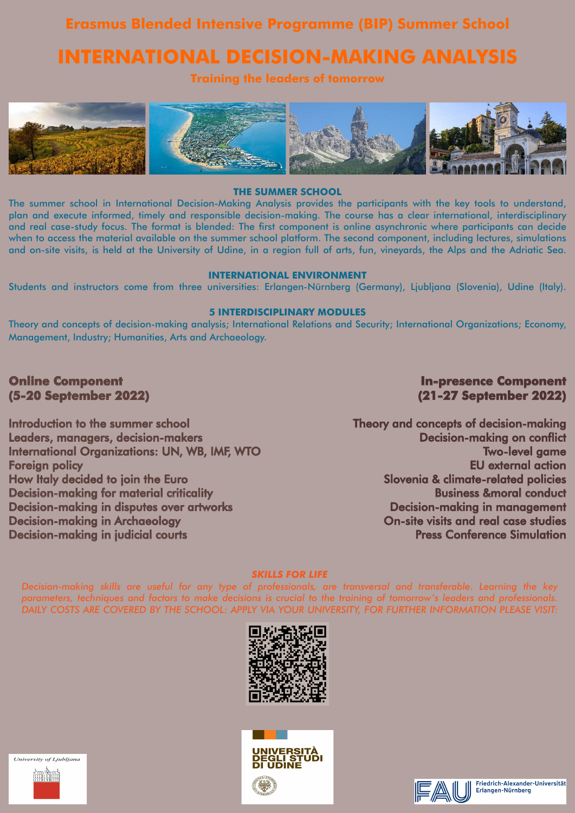### **Erasmus Blended Intensive Programme (BIP) Summer School**

## **INTERNATIONAL DECISION-MAKING ANALYSIS**

### **Training the leaders of tomorrow**



### **THE SUMMER SCHOOL**

The summer school in International Decision-Making Analysis provides the participants with the key tools to understand, plan and execute informed, timely and responsible decision-making. The course has a clear international, interdisciplinary and real case-study focus. The format is blended: The first component is online asynchronic where participants can decide when to access the material available on the summer school platform. The second component, including lectures, simulations and on-site visits, is held at the University of Udine, in a region full of arts, fun, vineyards, the Alps and the Adriatic Sea.

### **Online Component (5-20 September 2022)**

### **INTERNATIONAL ENVIRONMENT**

Students and instructors come from three universities: Erlangen-Nürnberg (Germany), Ljubljana (Slovenia), Udine (Italy).

### **5 INTERDISCIPLINARY MODULES**

Theory and concepts of decision-making analysis; International Relations and Security; International Organizations; Economy, Management, Industry; Humanities, Arts and Archaeology.

Introduction to the summer school Leaders, managers, decision-makers International Organizations: UN, WB, IMF, WTO Foreign policy How Italy decided to join the Euro Decision-making for material criticality Decision-making in disputes over artworks Decision-making in Archaeology Decision-making in judicial courts

### *SKILLS FOR LIFE*

*Decision-making skills are useful for any type of professionals, are transversal and transferable. Learning the key parameters, techniques and factors to make decisions is crucial to the training of tomorrow's leaders and professionals. DAILY COSTS ARE COVERED BY THE SCHOOL: APPLY VIA YOUR UNIVERSITY, FOR FURTHER INFORMATION PLEASE VISIT:*













Friedrich-Alexander-Universität Erlangen-Nürnberg

### **In-presence Component (21-27 September 2022)**

Theory and concepts of decision-making Decision-making on conflict Two-level game EU external action Slovenia & climate-related policies Business &moral conduct Decision-making in management On-site visits and real case studies Press Conference Simulation